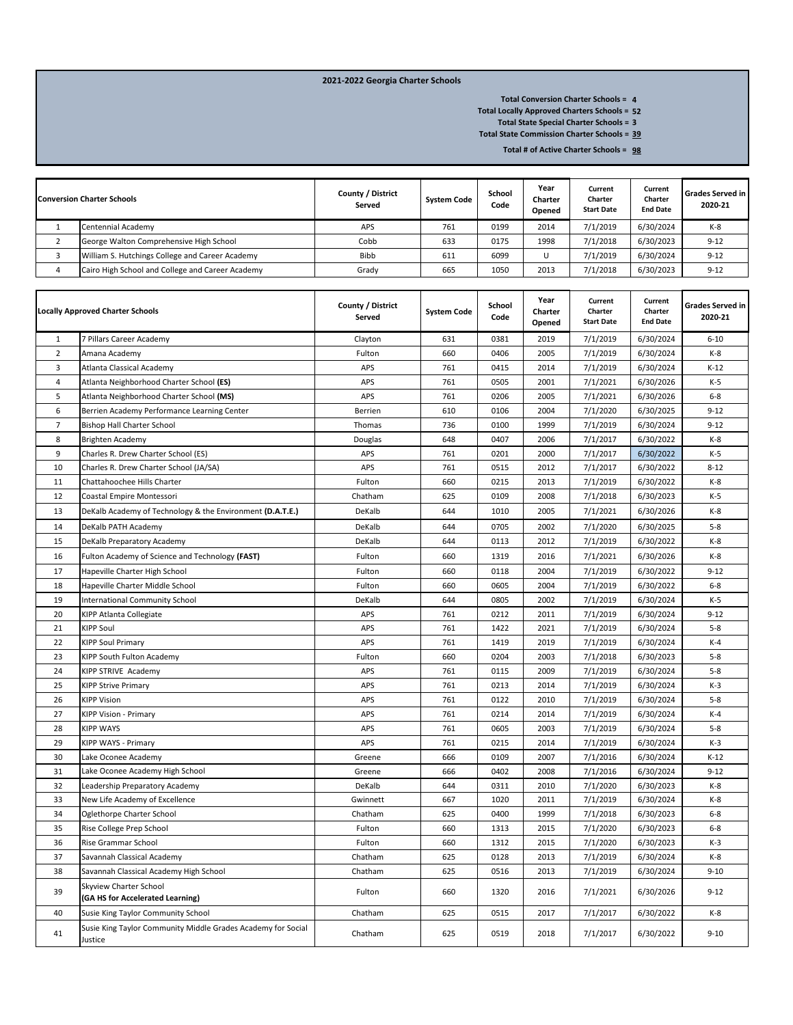## **2021-2022 Georgia Charter Schools**

**4 Total Conversion Charter Schools =** 

**52 Total Locally Approved Charters Schools =**

**3 Total State Special Charter Schools =** 

**39 Total State Commission Charter Schools =** 

**98 Total # of Active Charter Schools =** 

| <b>Conversion Charter Schools</b>                | County / District<br>Served | <b>System Code</b> | School<br>Code | Year<br>Charter<br>Opened | Current<br>Charter<br><b>Start Date</b> | Current<br>Charter<br><b>End Date</b> | <b>Grades Served in</b><br>2020-21 |
|--------------------------------------------------|-----------------------------|--------------------|----------------|---------------------------|-----------------------------------------|---------------------------------------|------------------------------------|
| Centennial Academy                               | APS                         | 761                | 0199           | 2014                      | 7/1/2019                                | 6/30/2024                             | $K-8$                              |
| George Walton Comprehensive High School          | Cobb                        | 633                | 0175           | 1998                      | 7/1/2018                                | 6/30/2023                             | $9 - 12$                           |
| William S. Hutchings College and Career Academy  | <b>Bibb</b>                 | 611                | 6099           |                           | 7/1/2019                                | 6/30/2024                             | $9 - 12$                           |
| Cairo High School and College and Career Academy | Grady                       | 665                | 1050           | 2013                      | 7/1/2018                                | 6/30/2023                             | $9 - 12$                           |

| <b>Locally Approved Charter Schools</b> |                                                                         | County / District<br>Served | <b>System Code</b> | School<br>Code | Year<br>Charter<br>Opened | Current<br>Charter<br><b>Start Date</b> | Current<br>Charter<br><b>End Date</b> | <b>Grades Served in</b><br>2020-21 |
|-----------------------------------------|-------------------------------------------------------------------------|-----------------------------|--------------------|----------------|---------------------------|-----------------------------------------|---------------------------------------|------------------------------------|
| $\mathbf{1}$                            | 7 Pillars Career Academy                                                | Clayton                     | 631                | 0381           | 2019                      | 7/1/2019                                | 6/30/2024                             | $6 - 10$                           |
| $\overline{2}$                          | Amana Academy                                                           | Fulton                      | 660                | 0406           | 2005                      | 7/1/2019                                | 6/30/2024                             | $K-8$                              |
| 3                                       | Atlanta Classical Academy                                               | APS                         | 761                | 0415           | 2014                      | 7/1/2019                                | 6/30/2024                             | $K-12$                             |
| 4                                       | Atlanta Neighborhood Charter School (ES)                                | APS                         | 761                | 0505           | 2001                      | 7/1/2021                                | 6/30/2026                             | $K-5$                              |
| 5                                       | Atlanta Neighborhood Charter School (MS)                                | APS                         | 761                | 0206           | 2005                      | 7/1/2021                                | 6/30/2026                             | $6 - 8$                            |
| 6                                       | Berrien Academy Performance Learning Center                             | Berrien                     | 610                | 0106           | 2004                      | 7/1/2020                                | 6/30/2025                             | $9 - 12$                           |
| $\overline{7}$                          | <b>Bishop Hall Charter School</b>                                       | Thomas                      | 736                | 0100           | 1999                      | 7/1/2019                                | 6/30/2024                             | $9 - 12$                           |
| 8                                       | Brighten Academy                                                        | Douglas                     | 648                | 0407           | 2006                      | 7/1/2017                                | 6/30/2022                             | $K-8$                              |
| 9                                       | Charles R. Drew Charter School (ES)                                     | APS                         | 761                | 0201           | 2000                      | 7/1/2017                                | 6/30/2022                             | $K-5$                              |
| 10                                      | Charles R. Drew Charter School (JA/SA)                                  | APS                         | 761                | 0515           | 2012                      | 7/1/2017                                | 6/30/2022                             | $8 - 12$                           |
| 11                                      | Chattahoochee Hills Charter                                             | Fulton                      | 660                | 0215           | 2013                      | 7/1/2019                                | 6/30/2022                             | $K-8$                              |
| 12                                      | Coastal Empire Montessori                                               | Chatham                     | 625                | 0109           | 2008                      | 7/1/2018                                | 6/30/2023                             | $K-5$                              |
| 13                                      | DeKalb Academy of Technology & the Environment (D.A.T.E.)               | DeKalb                      | 644                | 1010           | 2005                      | 7/1/2021                                | 6/30/2026                             | $K-8$                              |
| 14                                      | DeKalb PATH Academy                                                     | DeKalb                      | 644                | 0705           | 2002                      | 7/1/2020                                | 6/30/2025                             | $5 - 8$                            |
| 15                                      | DeKalb Preparatory Academy                                              | DeKalb                      | 644                | 0113           | 2012                      | 7/1/2019                                | 6/30/2022                             | $K-8$                              |
| 16                                      | Fulton Academy of Science and Technology (FAST)                         | Fulton                      | 660                | 1319           | 2016                      | 7/1/2021                                | 6/30/2026                             | $K-8$                              |
| 17                                      | Hapeville Charter High School                                           | Fulton                      | 660                | 0118           | 2004                      | 7/1/2019                                | 6/30/2022                             | $9 - 12$                           |
| 18                                      | Hapeville Charter Middle School                                         | Fulton                      | 660                | 0605           | 2004                      | 7/1/2019                                | 6/30/2022                             | $6 - 8$                            |
| 19                                      | <b>International Community School</b>                                   | DeKalb                      | 644                | 0805           | 2002                      | 7/1/2019                                | 6/30/2024                             | $K-5$                              |
| 20                                      | KIPP Atlanta Collegiate                                                 | APS                         | 761                | 0212           | 2011                      | 7/1/2019                                | 6/30/2024                             | $9 - 12$                           |
| 21                                      | <b>KIPP Soul</b>                                                        | APS                         | 761                | 1422           | 2021                      | 7/1/2019                                | 6/30/2024                             | $5 - 8$                            |
| 22                                      | <b>KIPP Soul Primary</b>                                                | APS                         | 761                | 1419           | 2019                      | 7/1/2019                                | 6/30/2024                             | $K-4$                              |
| 23                                      | KIPP South Fulton Academy                                               | Fulton                      | 660                | 0204           | 2003                      | 7/1/2018                                | 6/30/2023                             | $5 - 8$                            |
| 24                                      | KIPP STRIVE Academy                                                     | APS                         | 761                | 0115           | 2009                      | 7/1/2019                                | 6/30/2024                             | $5 - 8$                            |
| 25                                      | <b>KIPP Strive Primary</b>                                              | APS                         | 761                | 0213           | 2014                      | 7/1/2019                                | 6/30/2024                             | $K-3$                              |
| 26                                      | <b>KIPP Vision</b>                                                      | APS                         | 761                | 0122           | 2010                      | 7/1/2019                                | 6/30/2024                             | $5 - 8$                            |
| 27                                      | <b>KIPP Vision - Primary</b>                                            | APS                         | 761                | 0214           | 2014                      | 7/1/2019                                | 6/30/2024                             | $K-4$                              |
| 28                                      | <b>KIPP WAYS</b>                                                        | APS                         | 761                | 0605           | 2003                      | 7/1/2019                                | 6/30/2024                             | $5 - 8$                            |
| 29                                      | KIPP WAYS - Primary                                                     | APS                         | 761                | 0215           | 2014                      | 7/1/2019                                | 6/30/2024                             | $K-3$                              |
| 30                                      | Lake Oconee Academy                                                     | Greene                      | 666                | 0109           | 2007                      | 7/1/2016                                | 6/30/2024                             | $K-12$                             |
| 31                                      | Lake Oconee Academy High School                                         | Greene                      | 666                | 0402           | 2008                      | 7/1/2016                                | 6/30/2024                             | $9 - 12$                           |
| 32                                      | Leadership Preparatory Academy                                          | DeKalb                      | 644                | 0311           | 2010                      | 7/1/2020                                | 6/30/2023                             | $K-8$                              |
| 33                                      | New Life Academy of Excellence                                          | Gwinnett                    | 667                | 1020           | 2011                      | 7/1/2019                                | 6/30/2024                             | $K-8$                              |
| 34                                      | Oglethorpe Charter School                                               | Chatham                     | 625                | 0400           | 1999                      | 7/1/2018                                | 6/30/2023                             | $6 - 8$                            |
| 35                                      | Rise College Prep School                                                | Fulton                      | 660                | 1313           | 2015                      | 7/1/2020                                | 6/30/2023                             | $6 - 8$                            |
| 36                                      | Rise Grammar School                                                     | Fulton                      | 660                | 1312           | 2015                      | 7/1/2020                                | 6/30/2023                             | $K-3$                              |
| 37                                      | Savannah Classical Academy                                              | Chatham                     | 625                | 0128           | 2013                      | 7/1/2019                                | 6/30/2024                             | $K-8$                              |
| 38                                      | Savannah Classical Academy High School                                  | Chatham                     | 625                | 0516           | 2013                      | 7/1/2019                                | 6/30/2024                             | $9 - 10$                           |
| 39                                      | Skyview Charter School<br>(GA HS for Accelerated Learning)              | Fulton                      | 660                | 1320           | 2016                      | 7/1/2021                                | 6/30/2026                             | $9 - 12$                           |
| 40                                      | Susie King Taylor Community School                                      | Chatham                     | 625                | 0515           | 2017                      | 7/1/2017                                | 6/30/2022                             | $K-8$                              |
| 41                                      | Susie King Taylor Community Middle Grades Academy for Social<br>Justice | Chatham                     | 625                | 0519           | 2018                      | 7/1/2017                                | 6/30/2022                             | $9 - 10$                           |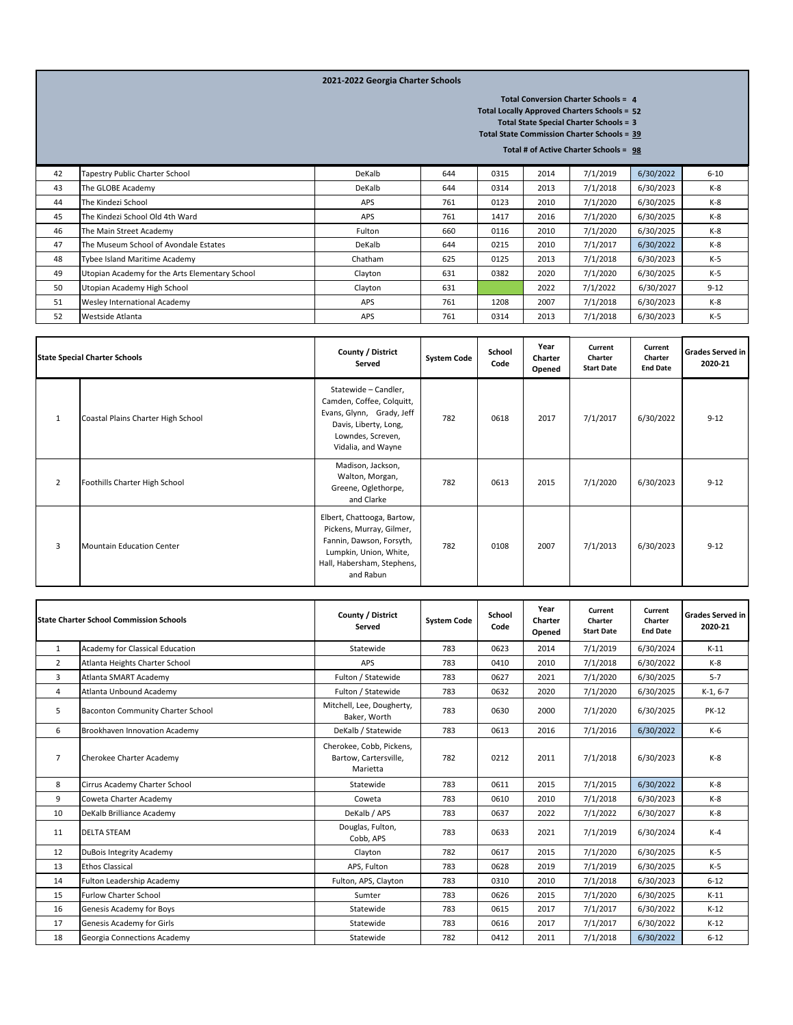## **2021-2022 Georgia Charter Schools**

**4 Total Conversion Charter Schools =** 

**52 Total Locally Approved Charters Schools =**

**3 Total State Special Charter Schools =** 

**39 Total State Commission Charter Schools =** 

**98 Total # of Active Charter Schools =** 

| 42 | Tapestry Public Charter School                 | DeKalb  | 644 | 0315 | 2014 | 7/1/2019 | 6/30/2022 | $6 - 10$ |
|----|------------------------------------------------|---------|-----|------|------|----------|-----------|----------|
| 43 | The GLOBE Academy                              | DeKalb  | 644 | 0314 | 2013 | 7/1/2018 | 6/30/2023 | $K-8$    |
| 44 | The Kindezi School                             | APS     | 761 | 0123 | 2010 | 7/1/2020 | 6/30/2025 | $K-8$    |
| 45 | The Kindezi School Old 4th Ward                | APS     | 761 | 1417 | 2016 | 7/1/2020 | 6/30/2025 | $K-8$    |
| 46 | The Main Street Academy                        | Fulton  | 660 | 0116 | 2010 | 7/1/2020 | 6/30/2025 | $K-8$    |
| 47 | The Museum School of Avondale Estates          | DeKalb  | 644 | 0215 | 2010 | 7/1/2017 | 6/30/2022 | $K-8$    |
| 48 | Tybee Island Maritime Academy                  | Chatham | 625 | 0125 | 2013 | 7/1/2018 | 6/30/2023 | $K-5$    |
| 49 | Utopian Academy for the Arts Elementary School | Clayton | 631 | 0382 | 2020 | 7/1/2020 | 6/30/2025 | $K-5$    |
| 50 | Utopian Academy High School                    | Clayton | 631 |      | 2022 | 7/1/2022 | 6/30/2027 | $9 - 12$ |
| 51 | Wesley International Academy                   | APS     | 761 | 1208 | 2007 | 7/1/2018 | 6/30/2023 | $K-8$    |
| 52 | Westside Atlanta                               | APS     | 761 | 0314 | 2013 | 7/1/2018 | 6/30/2023 | $K-5$    |

|                | <b>State Special Charter Schools</b> | County / District<br>Served                                                                                                                             | <b>System Code</b> | School<br>Code | Year<br>Charter<br>Opened | Current<br>Charter<br><b>Start Date</b> | Current<br>Charter<br><b>End Date</b> | <b>Grades Served in</b><br>2020-21 |
|----------------|--------------------------------------|---------------------------------------------------------------------------------------------------------------------------------------------------------|--------------------|----------------|---------------------------|-----------------------------------------|---------------------------------------|------------------------------------|
| $\mathbf{1}$   | Coastal Plains Charter High School   | Statewide - Candler,<br>Camden, Coffee, Colquitt,<br>Evans, Glynn, Grady, Jeff<br>Davis, Liberty, Long,<br>Lowndes, Screven,<br>Vidalia, and Wayne      | 782                | 0618           | 2017                      | 7/1/2017                                | 6/30/2022                             | $9 - 12$                           |
| $\overline{2}$ | Foothills Charter High School        | Madison, Jackson,<br>Walton, Morgan,<br>Greene, Oglethorpe,<br>and Clarke                                                                               | 782                | 0613           | 2015                      | 7/1/2020                                | 6/30/2023                             | $9 - 12$                           |
| 3              | Mountain Education Center            | Elbert, Chattooga, Bartow,<br>Pickens, Murray, Gilmer,<br>Fannin, Dawson, Forsyth,<br>Lumpkin, Union, White,<br>Hall, Habersham, Stephens,<br>and Rabun | 782                | 0108           | 2007                      | 7/1/2013                                | 6/30/2023                             | $9 - 12$                           |

|                | <b>State Charter School Commission Schools</b> | County / District<br>Served                                   | <b>System Code</b> | School<br>Code | Year<br>Charter<br>Opened | Current<br>Charter<br><b>Start Date</b> | Current<br>Charter<br><b>End Date</b> | <b>Grades Served in</b><br>2020-21 |
|----------------|------------------------------------------------|---------------------------------------------------------------|--------------------|----------------|---------------------------|-----------------------------------------|---------------------------------------|------------------------------------|
| 1              | Academy for Classical Education                | Statewide                                                     | 783                | 0623           | 2014                      | 7/1/2019                                | 6/30/2024                             | $K-11$                             |
| $\overline{2}$ | Atlanta Heights Charter School                 | APS                                                           | 783                | 0410           | 2010                      | 7/1/2018                                | 6/30/2022                             | $K-8$                              |
| 3              | Atlanta SMART Academy                          | Fulton / Statewide                                            | 783                | 0627           | 2021                      | 7/1/2020                                | 6/30/2025                             | $5 - 7$                            |
| 4              | Atlanta Unbound Academy                        | Fulton / Statewide                                            | 783                | 0632           | 2020                      | 7/1/2020                                | 6/30/2025                             | $K-1, 6-7$                         |
| 5              | Baconton Community Charter School              | Mitchell, Lee, Dougherty,<br>Baker, Worth                     | 783                | 0630           | 2000                      | 7/1/2020                                | 6/30/2025                             | <b>PK-12</b>                       |
| 6              | Brookhaven Innovation Academy                  | DeKalb / Statewide                                            | 783                | 0613           | 2016                      | 7/1/2016                                | 6/30/2022                             | $K-6$                              |
| $\overline{7}$ | Cherokee Charter Academy                       | Cherokee, Cobb, Pickens,<br>Bartow, Cartersville,<br>Marietta | 782                | 0212           | 2011                      | 7/1/2018                                | 6/30/2023                             | $K-8$                              |
| 8              | Cirrus Academy Charter School                  | Statewide                                                     | 783                | 0611           | 2015                      | 7/1/2015                                | 6/30/2022                             | $K-8$                              |
| 9              | Coweta Charter Academy                         | Coweta                                                        | 783                | 0610           | 2010                      | 7/1/2018                                | 6/30/2023                             | $K-8$                              |
| 10             | DeKalb Brilliance Academy                      | DeKalb / APS                                                  | 783                | 0637           | 2022                      | 7/1/2022                                | 6/30/2027                             | $K-8$                              |
| 11             | <b>DELTA STEAM</b>                             | Douglas, Fulton,<br>Cobb, APS                                 | 783                | 0633           | 2021                      | 7/1/2019                                | 6/30/2024                             | $K-4$                              |
| 12             | DuBois Integrity Academy                       | Clavton                                                       | 782                | 0617           | 2015                      | 7/1/2020                                | 6/30/2025                             | $K-5$                              |
| 13             | <b>Ethos Classical</b>                         | APS, Fulton                                                   | 783                | 0628           | 2019                      | 7/1/2019                                | 6/30/2025                             | $K-5$                              |
| 14             | Fulton Leadership Academy                      | Fulton, APS, Clayton                                          | 783                | 0310           | 2010                      | 7/1/2018                                | 6/30/2023                             | $6 - 12$                           |
| 15             | <b>Furlow Charter School</b>                   | Sumter                                                        | 783                | 0626           | 2015                      | 7/1/2020                                | 6/30/2025                             | $K-11$                             |
| 16             | Genesis Academy for Boys                       | Statewide                                                     | 783                | 0615           | 2017                      | 7/1/2017                                | 6/30/2022                             | $K-12$                             |
| 17             | Genesis Academy for Girls                      | Statewide                                                     | 783                | 0616           | 2017                      | 7/1/2017                                | 6/30/2022                             | $K-12$                             |
| 18             | Georgia Connections Academy                    | Statewide                                                     | 782                | 0412           | 2011                      | 7/1/2018                                | 6/30/2022                             | $6 - 12$                           |